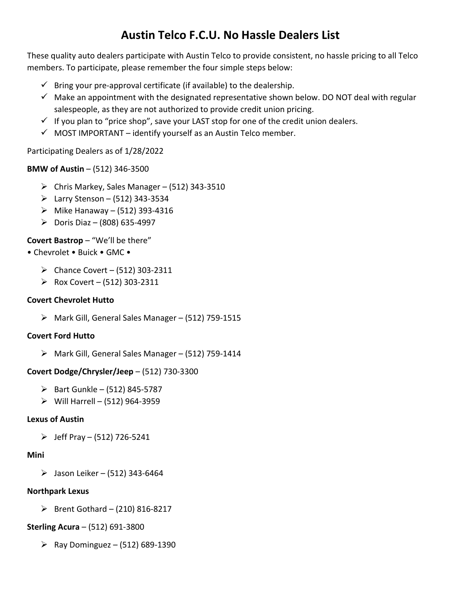# **Austin Telco F.C.U. No Hassle Dealers List**

These quality auto dealers participate with Austin Telco to provide consistent, no hassle pricing to all Telco members. To participate, please remember the four simple steps below:

- $\checkmark$  Bring your pre-approval certificate (if available) to the dealership.
- $\checkmark$  Make an appointment with the designated representative shown below. DO NOT deal with regular salespeople, as they are not authorized to provide credit union pricing.
- $\checkmark$  If you plan to "price shop", save your LAST stop for one of the credit union dealers.
- $\checkmark$  MOST IMPORTANT identify yourself as an Austin Telco member.

### Participating Dealers as of 1/28/2022

# **BMW of Austin** – (512) 346-3500

- $\triangleright$  Chris Markey, Sales Manager (512) 343-3510
- Earry Stenson (512) 343-3534
- $\triangleright$  Mike Hanaway (512) 393-4316
- $\triangleright$  Doris Diaz (808) 635-4997

# **Covert Bastrop** – "We'll be there"

# • Chevrolet • Buick • GMC •

- $\triangleright$  Chance Covert (512) 303-2311
- Rox Covert  $(512)$  303-2311

### **Covert Chevrolet Hutto**

 $\triangleright$  Mark Gill, General Sales Manager – (512) 759-1515

### **Covert Ford Hutto**

 $\triangleright$  Mark Gill, General Sales Manager – (512) 759-1414

### **Covert Dodge/Chrysler/Jeep** – (512) 730-3300

- $\triangleright$  Bart Gunkle (512) 845-5787
- $\triangleright$  Will Harrell (512) 964-3959

### **Lexus of Austin**

 $\triangleright$  Jeff Pray – (512) 726-5241

### **Mini**

 $>$  Jason Leiker – (512) 343-6464

### **Northpark Lexus**

 $\triangleright$  Brent Gothard – (210) 816-8217

### **Sterling Acura** – (512) 691-3800

**Example 1** Ray Dominguez – (512) 689-1390